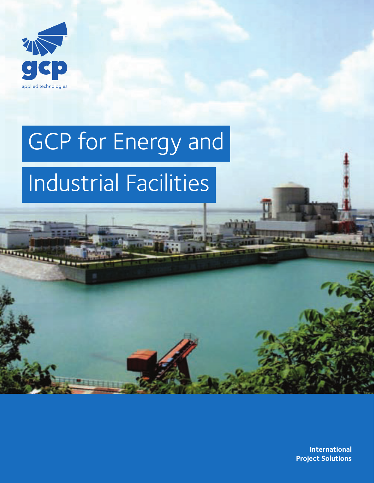

# GCP for Energy and Industrial Facilities

**International Project Solutions**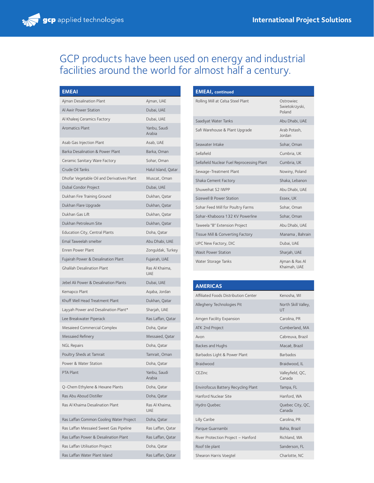## GCP products have been used on energy and industrial facilities around the world for almost half a century.

#### **EMEAI**

| Ajman Desalination Plant                   | Ajman, UAE                   |
|--------------------------------------------|------------------------------|
| Al Awir Power Station                      | Dubai, UAE                   |
| Al Khaleej Ceramics Factory                | Dubai, UAE                   |
| <b>Aromatics Plant</b>                     | Yanbu, Saudi<br>Arabia       |
| Asab Gas Injection Plant                   | Asab, UAE                    |
| Barka Desalination & Power Plant           | Barka, Oman                  |
| Ceramic Sanitary Ware Factory              | Sohar, Oman                  |
| Crude Oil Tanks                            | Halul Island, Qatar          |
| Dhofar Vegetable Oil and Derivatives Plant | Muscat, Oman                 |
| Dubal Condor Project                       | Dubai, UAE                   |
| Dukhan Fire Training Ground                | Dukhan, Qatar                |
| Dukhan Flare Upgrade                       | Dukhan, Qatar                |
| Dukhan Gas Lift                            | Dukhan, Qatar                |
| Dukhan Petroleum Site                      | Dukhan, Qatar                |
| Education City, Central Plants             | Doha, Qatar                  |
| Emal Taweelah smelter                      | Abu Dhabi, UAE               |
| Enren Power Plant                          | Zonguldak, Turkey            |
| Fujairah Power & Desalination Plant        | Fujairah, UAE                |
| <b>Ghalilah Desalination Plant</b>         | Ras Al Khaima,<br><b>UAE</b> |
| Jebel Ali Power & Desalination Plants      | Dubai, UAE                   |
| Kemapco Plant                              | Aqaba, Jordan                |
| Khuff Well Head Treatment Plant            | Dukhan, Qatar                |
| Layyah Power and Desalination Plant*       | Sharjah, UAE                 |
| Lee Breakwater Piperack                    | Ras Laffan, Qatar            |
| Mesaieed Commercial Complex                | Doha, Qatar                  |
| <b>Messaied Refinery</b>                   | Messaied, Qatar              |
| <b>NGL Repairs</b>                         |                              |
|                                            | Doha, Qatar                  |
| Poultry Sheds at Tamrait                   | Tamrait, Oman                |
| Power & Water Station                      | Doha, Qatar                  |
| PTA Plant                                  | Yanbu, Saudi<br>Arabia       |
| Q-Chem Ethylene & Hexane Plants            | Doha, Qatar                  |
| Ras Abu Aboud Distiller                    | Doha, Qatar                  |
| Ras Al Khaima Desalination Plant           | Ras Al Khaima,<br><b>UAE</b> |
| Ras Laffan Common Cooling Water Project    | Doha, Qatar                  |
| Ras Laffan Messaied Sweet Gas Pipeline     | Ras Laffan, Qatar            |
| Ras Laffan Power & Desalination Plant      | Ras Laffan, Qatar            |
| Ras Laffan Utilisation Project             | Doha, Qatar                  |

| <b>EMEAI</b> , continued                   |                                       |
|--------------------------------------------|---------------------------------------|
| Rolling Mill at Celsa Steel Plant          | Ostrowiec<br>Swietokrzyski,<br>Poland |
| Saadiyat Water Tanks                       | Abu Dhabi, UAE                        |
| Safi Warehouse & Plant Upgrade             | Arab Potash,<br>Iordan                |
| Seawater Intake                            | Sohar, Oman                           |
| Sellafield                                 | Cumbria, UK                           |
| Sellafield Nuclear Fuel Reprocessing Plant | Cumbria, UK                           |
| Sewage-Treatment Plant                     | Nowiny, Poland                        |
| Shaka Cement Factory                       | Shaka, Lebanon                        |
| Shuweihat S2 IWPP                          | Abu Dhabi, UAE                        |
| Sizewell B Power Station                   | Essex, UK                             |
| Sohar Feed Mill for Poultry Farms          | Sohar, Oman                           |
| Sohar-Khaboora 132 KV Powerline            | Sohar, Oman                           |
| Taweela "B" Extension Project              | Abu Dhabi, UAE                        |
| Tissue Mill & Converting Factory           | Manama, Bahrain                       |
| UPC New Factory, DIC                       | Dubai, UAE                            |
| <b>Wasit Power Station</b>                 | Sharjah, UAE                          |
| Water Storage Tanks                        | Ajman & Ras Al<br>Khaimah, UAE        |

## **AMERICAS**

| Affiliated Foods Distribution Center | Kenosha, WI                |
|--------------------------------------|----------------------------|
| Allegheny Technologies Pit           | North Skill Valley,<br>UT  |
| Amgen Facility Expansion             | Carolina, PR               |
| ATK 2nd Project                      | Cumberland, MA             |
| Avon                                 | Cabreuva, Brazil           |
| Backes and Hughs                     | Macaé, Brazil              |
| Barbados Light & Power Plant         | <b>Barbados</b>            |
| <b>Braidwood</b>                     | Braidwood, IL              |
| CF7inc                               | Valleyfield, QC,<br>Canada |
| Envirofocus Battery Recycling Plant  | Tampa, FL                  |
| Hanford Nuclear Site                 | Hanford, WA                |
| Hydro Quebec                         | Quebec City, QC,<br>Canada |
| Lilly Caribe                         | Carolina, PR               |
| Parque Guarnambi                     | Bahia, Brazil              |
| River Protection Project - Hanford   | Richland, WA               |
| Roof tile plant                      | Sanderson, FL              |
| Shearon Harris Voegtel               | Charlotte, NC              |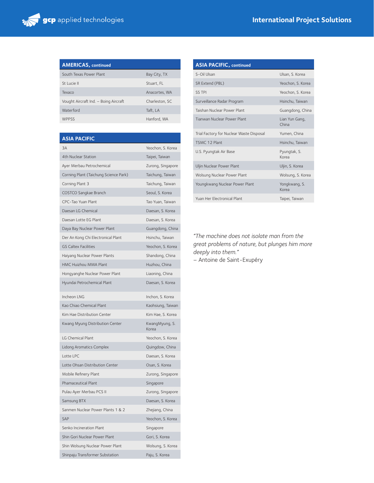| Bay City, TX   |
|----------------|
| Stuart, FL     |
| Anacortes, WA  |
| Charleston, SC |
| Taft, LA       |
| Hanford, WA    |
|                |

| <b>ASIA PACIFIC</b>                   |                         |
|---------------------------------------|-------------------------|
| 3A                                    | Yeochon, S. Korea       |
| 4th Nuclear Station                   | Taipei, Taiwan          |
| Ayer Merbau Petrochemical             | Zurong, Singapore       |
| Corning Plant (Taichung Science Park) | Taichung, Taiwan        |
| Corning Plant 3                       | Taichung, Taiwan        |
| COSTCO Sangkae Branch                 | Seoul, S. Korea         |
| CPC-Tao Yuan Plant                    | Tao Yuan, Taiwan        |
| Daesan LG Chemical                    | Daesan, S. Korea        |
| Daesan Lotte EG Plant                 | Daesan, S. Korea        |
| Daya Bay Nuclear Power Plant          | Guangdong, China        |
| Der An Kong Chi Electronical Plant    | Hsinchu, Taiwan         |
| <b>GS Caltex Facilities</b>           | Yeochon, S. Korea       |
| Haiyang Nuclear Power Plants          | Shandong, China         |
| HMC Huizhou MMA Plant                 | Huzhou, China           |
| Hongyanghe Nuclear Power Plant        | Liaoning, China         |
| Hyundai Petrochemical Plant           | Daesan, S. Korea        |
| Incheon LNG                           | Inchon, S. Korea        |
| Kao Chiao Chemical Plant              | Kaohsiung, Taiwan       |
| Kim Hae Distribution Center           | Kim Hae, S. Korea       |
| Kwang Myung Distribution Center       | KwangMyung, S.<br>Korea |
| LG Chemical Plant                     | Yeochon, S. Korea       |
| Lidong Aromatics Complex              | Quingdow, China         |
| Lotte LPC                             | Daesan, S. Korea        |
| Lotte Ohsan Distribution Center       | Osan, S. Korea          |
| Mobile Refinery Plant                 | Zurong, Singapore       |
| Phamaceutical Plant                   | Singapore               |
| Pulau Ayer Merbau PCS II              | Zurong, Singapore       |
| Samsung BTX                           | Daesan, S. Korea        |
| Sanmen Nuclear Power Plants 1 & 2     | Zhejiang, China         |
| SAP                                   | Yeochon, S. Korea       |
| Senko Incineration Plant              | Singapore               |
| Shin Gori Nuclear Power Plant         | Gori, S. Korea          |
| Shin Wolsung Nuclear Power Plant      | Wolsung, S. Korea       |
| Shinpaju Transformer Substation       | Paju, S. Korea          |

| <b>ASIA PACIFIC, continued</b>           |                         |
|------------------------------------------|-------------------------|
| S-Oil Ulsan                              | Ulsan, S. Korea         |
| SR Extend (PBL)                          | Yeochon, S. Korea       |
| SS TPI                                   | Yeochon, S. Korea       |
| Surveillance Radar Program               | Hsinchu, Taiwan         |
| Taishan Nuclear Power Plant              | Guangdong, China        |
| Tianwan Nuclear Power Plant              | Lian Yun Gang,<br>China |
| Trial Factory for Nuclear Waste Disposal | Yumen, China            |
| TSMC 12 Plant                            | Hsinchu, Taiwan         |
| U.S. Pyungtak Air Base                   | Pyungtak, S.<br>Korea   |
| Uljin Nuclear Power Plant                | Uljin, S. Korea         |
| Wolsung Nuclear Power Plant              | Wolsung, S. Korea       |
| Youngkwang Nuclear Power Plant           | Yongkwang, S.<br>Korea  |
| Yuan Her Electronical Plant              | Taipei, Taiwan          |

*"The machine does not isolate man from the great problems of nature, but plunges him more deeply into them."*

– Antoine de Saint-Exupéry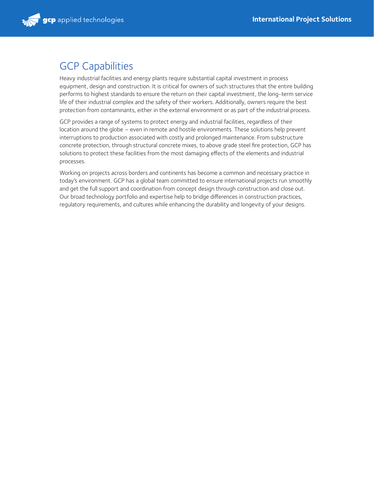

### GCP Capabilities

Heavy industrial facilities and energy plants require substantial capital investment in process equipment, design and construction. It is critical for owners of such structures that the entire building performs to highest standards to ensure the return on their capital investment, the long-term service life of their industrial complex and the safety of their workers. Additionally, owners require the best protection from contaminants, either in the external environment or as part of the industrial process.

GCP provides a range of systems to protect energy and industrial facilities, regardless of their location around the globe – even in remote and hostile environments. These solutions help prevent interruptions to production associated with costly and prolonged maintenance. From substructure concrete protection, through structural concrete mixes, to above grade steel fire protection, GCP has solutions to protect these facilities from the most damaging effects of the elements and industrial processes.

Working on projects across borders and continents has become a common and necessary practice in today's environment. GCP has a global team committed to ensure international projects run smoothly and get the full support and coordination from concept design through construction and close out. Our broad technology portfolio and expertise help to bridge differences in construction practices, regulatory requirements, and cultures while enhancing the durability and longevity of your designs.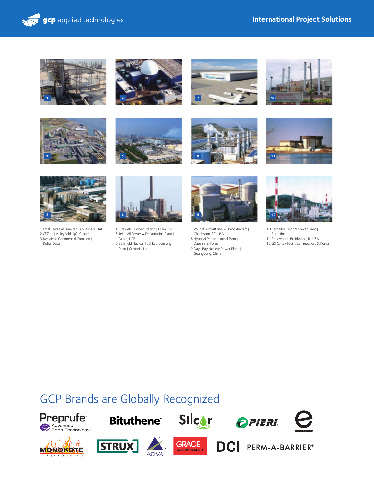



















1 Emal Taweelah smelter | Abu Dhabi, UAE 2 CEZinc | Valleyfield, QC, Canada 3 Mesaieed Commercial Complex | Doha, Qatar



4 Sizewell B Power Station | Essex, UK 5 Jebel Ali Power & Desalination Plant | Dubai, UAE 6 Sellafield Nuclear Fuel Reprocessing

Plant | Cumbria, UK



7 Vought Aircraft Ind. – Boing Aircraft | Charleston, SC, USA

8 Hyundai Petrochemical Plant | Daesan, S. Korea

9 Daya Bay Nuclear Power Plant | Guangdong, China



10 Barbados Light & Power Plant | Barbados 11 Braidwood | Braidwood, IL, USA 12 GS Caltex Facilities | Yeochon, S. Korea

## GCP Brands are Globally Recognized

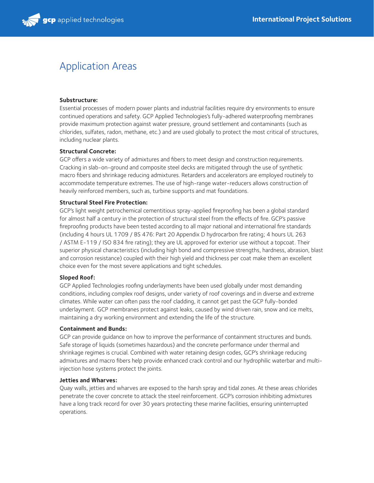## Application Areas

#### **Substructure:**

Essential processes of modern power plants and industrial facilities require dry environments to ensure continued operations and safety. GCP Applied Technologies's fully-adhered waterproofing membranes provide maximum protection against water pressure, ground settlement and contaminants (such as chlorides, sulfates, radon, methane, etc.) and are used globally to protect the most critical of structures, including nuclear plants.

#### **Structural Concrete:**

GCP offers a wide variety of admixtures and fibers to meet design and construction requirements. Cracking in slab-on-ground and composite steel decks are mitigated through the use of synthetic macro fibers and shrinkage reducing admixtures. Retarders and accelerators are employed routinely to accommodate temperature extremes. The use of high-range water-reducers allows construction of heavily reinforced members, such as, turbine supports and mat foundations.

#### **Structural Steel Fire Protection:**

GCP's light weight petrochemical cementitious spray-applied fireproofing has been a global standard for almost half a century in the protection of structural steel from the effects of fire. GCP's passive fireproofing products have been tested according to all major national and international fire standards (including 4 hours UL 1709 / BS 476: Part 20 Appendix D hydrocarbon fire rating; 4 hours UL 263 / ASTM E-119 / ISO 834 fire rating); they are UL approved for exterior use without a topcoat. Their superior physical characteristics (including high bond and compressive strengths, hardness, abrasion, blast and corrosion resistance) coupled with their high yield and thickness per coat make them an excellent choice even for the most severe applications and tight schedules.

#### **Sloped Roof:**

GCP Applied Technologies roofing underlayments have been used globally under most demanding conditions, including complex roof designs, under variety of roof coverings and in diverse and extreme climates. While water can often pass the roof cladding, it cannot get past the GCP fully-bonded underlayment. GCP membranes protect against leaks, caused by wind driven rain, snow and ice melts, maintaining a dry working environment and extending the life of the structure.

#### **Containment and Bunds:**

GCP can provide guidance on how to improve the performance of containment structures and bunds. Safe storage of liquids (sometimes hazardous) and the concrete performance under thermal and shrinkage regimes is crucial. Combined with water retaining design codes, GCP's shrinkage reducing admixtures and macro fibers help provide enhanced crack control and our hydrophilic waterbar and multiinjection hose systems protect the joints.

#### **Jetties and Wharves:**

Quay walls, jetties and wharves are exposed to the harsh spray and tidal zones. At these areas chlorides penetrate the cover concrete to attack the steel reinforcement. GCP's corrosion inhibiting admixtures have a long track record for over 30 years protecting these marine facilities, ensuring uninterrupted operations.